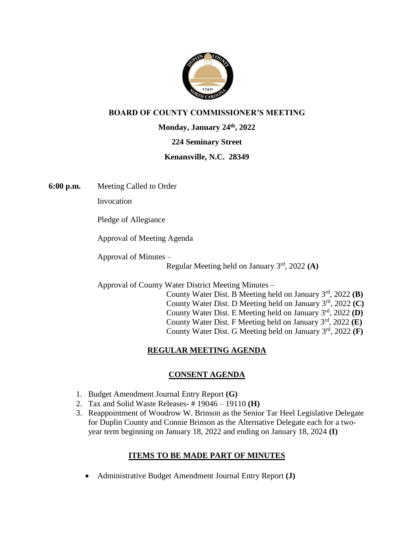

## **BOARD OF COUNTY COMMISSIONER'S MEETING**

**Monday, January 24th, 2022**

## **224 Seminary Street**

## **Kenansville, N.C. 28349**

**6:00 p.m.** Meeting Called to Order

Invocation

Pledge of Allegiance

Approval of Meeting Agenda

Approval of Minutes –

Regular Meeting held on January 3rd, 2022 **(A)**

Approval of County Water District Meeting Minutes –

 County Water Dist. B Meeting held on January 3rd, 2022 **(B)** County Water Dist. D Meeting held on January 3rd, 2022 **(C)** County Water Dist. E Meeting held on January 3rd, 2022 **(D)** County Water Dist. F Meeting held on January 3rd, 2022 **(E)** County Water Dist. G Meeting held on January 3rd, 2022 **(F)**

# **REGULAR MEETING AGENDA**

# **CONSENT AGENDA**

- 1. Budget Amendment Journal Entry Report **(G)**
- 2. Tax and Solid Waste Releases**-** # 19046 19110 **(H)**
- 3. Reappointment of Woodrow W. Brinson as the Senior Tar Heel Legislative Delegate for Duplin County and Connie Brinson as the Alternative Delegate each for a twoyear term beginning on January 18, 2022 and ending on January 18, 2024 **(I)**

## **ITEMS TO BE MADE PART OF MINUTES**

• Administrative Budget Amendment Journal Entry Report **(J)**